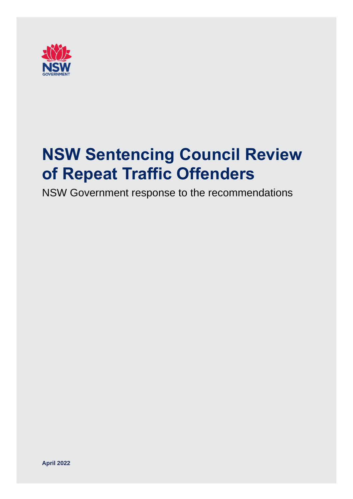

# **NSW Sentencing Council Review of Repeat Traffic Offenders**

NSW Government response to the recommendations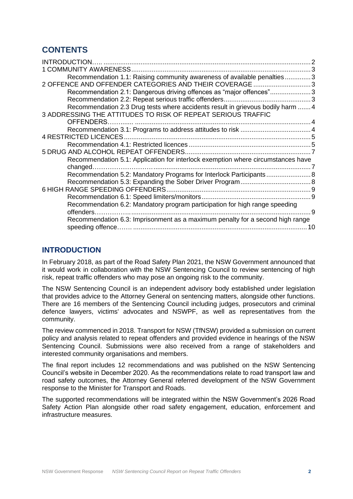# **CONTENTS**

| INTRODUCTION                                                                     |    |
|----------------------------------------------------------------------------------|----|
| <b>1 COMMUNITY AWARENESS</b>                                                     |    |
| Recommendation 1.1: Raising community awareness of available penalties3          |    |
| 2 OFFENCE AND OFFENDER CATEGORIES AND THEIR COVERAGE 3                           |    |
| Recommendation 2.1: Dangerous driving offences as "major offences"3              |    |
|                                                                                  |    |
| Recommendation 2.3 Drug tests where accidents result in grievous bodily harm  4  |    |
| 3 ADDRESSING THE ATTITUDES TO RISK OF REPEAT SERIOUS TRAFFIC                     |    |
|                                                                                  |    |
|                                                                                  |    |
|                                                                                  |    |
|                                                                                  |    |
|                                                                                  |    |
| Recommendation 5.1: Application for interlock exemption where circumstances have |    |
|                                                                                  |    |
| Recommendation 5.2: Mandatory Programs for Interlock Participants 8              |    |
|                                                                                  |    |
|                                                                                  |    |
|                                                                                  |    |
| Recommendation 6.2: Mandatory program participation for high range speeding      |    |
| offenders.                                                                       | 9  |
| Recommendation 6.3: Imprisonment as a maximum penalty for a second high range    |    |
|                                                                                  | 10 |

## <span id="page-1-0"></span>**INTRODUCTION**

In February 2018, as part of the Road Safety Plan 2021, the NSW Government announced that it would work in collaboration with the NSW Sentencing Council to review sentencing of high risk, repeat traffic offenders who may pose an ongoing risk to the community.

The NSW Sentencing Council is an independent advisory body established under legislation that provides advice to the Attorney General on sentencing matters, alongside other functions. There are 16 members of the Sentencing Council including judges, prosecutors and criminal defence lawyers, victims' advocates and NSWPF, as well as representatives from the community.

The review commenced in 2018. Transport for NSW (TfNSW) provided a submission on current policy and analysis related to repeat offenders and provided evidence in hearings of the NSW Sentencing Council. Submissions were also received from a range of stakeholders and interested community organisations and members.

The final report includes 12 recommendations and was published on the NSW Sentencing Council's website in December 2020. As the recommendations relate to road transport law and road safety outcomes, the Attorney General referred development of the NSW Government response to the Minister for Transport and Roads.

The supported recommendations will be integrated within the NSW Government's 2026 Road Safety Action Plan alongside other road safety engagement, education, enforcement and infrastructure measures.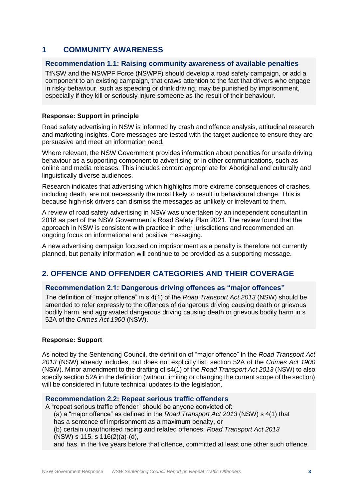## <span id="page-2-0"></span>**1 COMMUNITY AWARENESS**

#### <span id="page-2-1"></span>**Recommendation 1.1: Raising community awareness of available penalties**

TfNSW and the NSWPF Force (NSWPF) should develop a road safety campaign, or add a component to an existing campaign, that draws attention to the fact that drivers who engage in risky behaviour, such as speeding or drink driving, may be punished by imprisonment, especially if they kill or seriously injure someone as the result of their behaviour.

#### **Response: Support in principle**

Road safety advertising in NSW is informed by crash and offence analysis, attitudinal research and marketing insights. Core messages are tested with the target audience to ensure they are persuasive and meet an information need.

Where relevant, the NSW Government provides information about penalties for unsafe driving behaviour as a supporting component to advertising or in other communications, such as online and media releases. This includes content appropriate for Aboriginal and culturally and linguistically diverse audiences.

Research indicates that advertising which highlights more extreme consequences of crashes, including death, are not necessarily the most likely to result in behavioural change. This is because high-risk drivers can dismiss the messages as unlikely or irrelevant to them.

A review of road safety advertising in NSW was undertaken by an independent consultant in 2018 as part of the NSW Government's Road Safety Plan 2021. The review found that the approach in NSW is consistent with practice in other jurisdictions and recommended an ongoing focus on informational and positive messaging.

A new advertising campaign focused on imprisonment as a penalty is therefore not currently planned, but penalty information will continue to be provided as a supporting message.

## <span id="page-2-2"></span>**2. OFFENCE AND OFFENDER CATEGORIES AND THEIR COVERAGE**

### <span id="page-2-3"></span>**Recommendation 2.1: Dangerous driving offences as "major offences"**

The definition of "major offence" in s 4(1) of the *Road Transport Act 2013* (NSW) should be amended to refer expressly to the offences of dangerous driving causing death or grievous bodily harm, and aggravated dangerous driving causing death or grievous bodily harm in s 52A of the *Crimes Act 1900* (NSW).

#### **Response: Support**

As noted by the Sentencing Council, the definition of "major offence" in the *Road Transport Act 2013* (NSW) already includes, but does not explicitly list, section 52A of the *Crimes Act 1900* (NSW). Minor amendment to the drafting of s4(1) of the *Road Transport Act 2013* (NSW) to also specify section 52A in the definition (without limiting or changing the current scope of the section) will be considered in future technical updates to the legislation.

#### <span id="page-2-4"></span>**Recommendation 2.2: Repeat serious traffic offenders**

A "repeat serious traffic offender" should be anyone convicted of: (a) a "major offence" as defined in the *Road Transport Act 2013* (NSW) s 4(1) that has a sentence of imprisonment as a maximum penalty, or (b) certain unauthorised racing and related offences: *Road Transport Act 2013* (NSW) s 115, s 116(2)(a)-(d), and has, in the five years before that offence, committed at least one other such offence.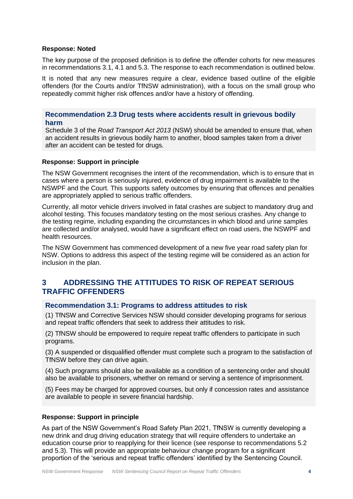#### **Response: Noted**

The key purpose of the proposed definition is to define the offender cohorts for new measures in recommendations 3.1, 4.1 and 5.3. The response to each recommendation is outlined below.

It is noted that any new measures require a clear, evidence based outline of the eligible offenders (for the Courts and/or TfNSW administration), with a focus on the small group who repeatedly commit higher risk offences and/or have a history of offending.

<span id="page-3-0"></span>**Recommendation 2.3 Drug tests where accidents result in grievous bodily harm**

Schedule 3 of the *Road Transport Act 2013* (NSW) should be amended to ensure that, when an accident results in grievous bodily harm to another, blood samples taken from a driver after an accident can be tested for drugs.

#### **Response: Support in principle**

The NSW Government recognises the intent of the recommendation, which is to ensure that in cases where a person is seriously injured, evidence of drug impairment is available to the NSWPF and the Court. This supports safety outcomes by ensuring that offences and penalties are appropriately applied to serious traffic offenders.

Currently, all motor vehicle drivers involved in fatal crashes are subject to mandatory drug and alcohol testing. This focuses mandatory testing on the most serious crashes. Any change to the testing regime, including expanding the circumstances in which blood and urine samples are collected and/or analysed, would have a significant effect on road users, the NSWPF and health resources.

The NSW Government has commenced development of a new five year road safety plan for NSW. Options to address this aspect of the testing regime will be considered as an action for inclusion in the plan.

## <span id="page-3-1"></span>**3 ADDRESSING THE ATTITUDES TO RISK OF REPEAT SERIOUS TRAFFIC OFFENDERS**

#### <span id="page-3-2"></span>**Recommendation 3.1: Programs to address attitudes to risk**

(1) TfNSW and Corrective Services NSW should consider developing programs for serious and repeat traffic offenders that seek to address their attitudes to risk.

(2) TfNSW should be empowered to require repeat traffic offenders to participate in such programs.

(3) A suspended or disqualified offender must complete such a program to the satisfaction of TfNSW before they can drive again.

(4) Such programs should also be available as a condition of a sentencing order and should also be available to prisoners, whether on remand or serving a sentence of imprisonment.

(5) Fees may be charged for approved courses, but only if concession rates and assistance are available to people in severe financial hardship.

#### **Response: Support in principle**

As part of the NSW Government's Road Safety Plan 2021, TfNSW is currently developing a new drink and drug driving education strategy that will require offenders to undertake an education course prior to reapplying for their licence (see response to recommendations 5.2 and 5.3). This will provide an appropriate behaviour change program for a significant proportion of the 'serious and repeat traffic offenders' identified by the Sentencing Council.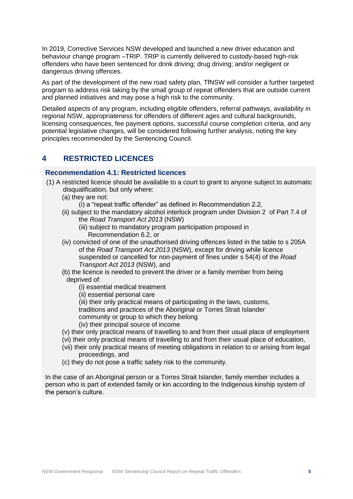In 2019, Corrective Services NSW developed and launched a new driver education and behaviour change program –TRIP. TRIP is currently delivered to custody-based high-risk offenders who have been sentenced for drink driving; drug driving; and/or negligent or dangerous driving offences.

As part of the development of the new road safety plan, TfNSW will consider a further targeted program to address risk taking by the small group of repeat offenders that are outside current and planned initiatives and may pose a high risk to the community.

Detailed aspects of any program, including eligible offenders, referral pathways, availability in regional NSW, appropriateness for offenders of different ages and cultural backgrounds, licensing consequences, fee payment options, successful course completion criteria, and any potential legislative changes, will be considered following further analysis, noting the key principles recommended by the Sentencing Council.

## <span id="page-4-0"></span>**4 RESTRICTED LICENCES**

#### <span id="page-4-1"></span>**Recommendation 4.1: Restricted licences**

- (1) A restricted licence should be available to a court to grant to anyone subject to automatic disqualification, but only where:
	- (a) they are not:
		- (i) a "repeat traffic offender" as defined in Recommendation 2.2,
	- (ii) subject to the mandatory alcohol interlock program under Division 2 of Part 7.4 of the *Road Transport Act 2013* (NSW)
		- (iii) subject to mandatory program participation proposed in Recommendation 6.2, or
	- (iv) convicted of one of the unauthorised driving offences listed in the table to s 205A of the *Road Transport Act 2013* (NSW), except for driving while licence suspended or cancelled for non-payment of fines under s 54(4) of the *Road Transport Act 2013* (NSW), and
	- (b) the licence is needed to prevent the driver or a family member from being deprived of:
		- (i) essential medical treatment
		- (ii) essential personal care

(iii) their only practical means of participating in the laws, customs,

traditions and practices of the Aboriginal or Torres Strait Islander

community or group to which they belong

- (iv) their principal source of income
- (v) their only practical means of travelling to and from their usual place of employment
- (vi) their only practical means of travelling to and from their usual place of education,
- (vii) their only practical means of meeting obligations in relation to or arising from legal proceedings, and
- (c) they do not pose a traffic safety risk to the community.

In the case of an Aboriginal person or a Torres Strait Islander, family member includes a person who is part of extended family or kin according to the Indigenous kinship system of the person's culture.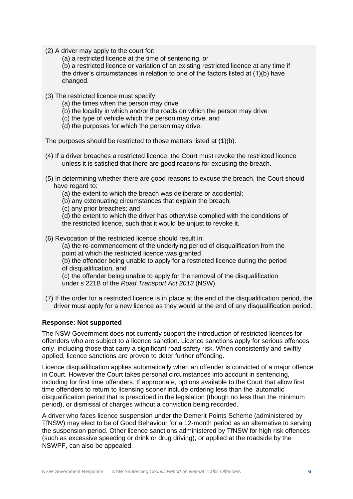- (2) A driver may apply to the court for:
	- (a) a restricted licence at the time of sentencing, or

(b) a restricted licence or variation of an existing restricted licence at any time if the driver's circumstances in relation to one of the factors listed at (1)(b) have changed.

- (3) The restricted licence must specify:
	- (a) the times when the person may drive
	- (b) the locality in which and/or the roads on which the person may drive
	- (c) the type of vehicle which the person may drive, and
	- (d) the purposes for which the person may drive.

The purposes should be restricted to those matters listed at (1)(b).

- (4) If a driver breaches a restricted licence, the Court must revoke the restricted licence unless it is satisfied that there are good reasons for excusing the breach.
- (5) In determining whether there are good reasons to excuse the breach, the Court should have regard to:
	- (a) the extent to which the breach was deliberate or accidental;
	- (b) any extenuating circumstances that explain the breach;
	- (c) any prior breaches; and
	- (d) the extent to which the driver has otherwise complied with the conditions of the restricted licence, such that it would be unjust to revoke it.
- (6) Revocation of the restricted licence should result in:

(a) the re-commencement of the underlying period of disqualification from the point at which the restricted licence was granted

(b) the offender being unable to apply for a restricted licence during the period of disqualification, and

(c) the offender being unable to apply for the removal of the disqualification under s 221B of the *Road Transport Act 2013* (NSW).

(7) If the order for a restricted licence is in place at the end of the disqualification period, the driver must apply for a new licence as they would at the end of any disqualification period.

#### **Response: Not supported**

The NSW Government does not currently support the introduction of restricted licences for offenders who are subject to a licence sanction. Licence sanctions apply for serious offences only, including those that carry a significant road safety risk. When consistently and swiftly applied, licence sanctions are proven to deter further offending.

Licence disqualification applies automatically when an offender is convicted of a major offence in Court. However the Court takes personal circumstances into account in sentencing, including for first time offenders. If appropriate, options available to the Court that allow first time offenders to return to licensing sooner include ordering less than the 'automatic' disqualification period that is prescribed in the legislation (though no less than the minimum period), or dismissal of charges without a conviction being recorded.

A driver who faces licence suspension under the Demerit Points Scheme (administered by TfNSW) may elect to be of Good Behaviour for a 12-month period as an alternative to serving the suspension period. Other licence sanctions administered by TfNSW for high risk offences (such as excessive speeding or drink or drug driving), or applied at the roadside by the NSWPF, can also be appealed.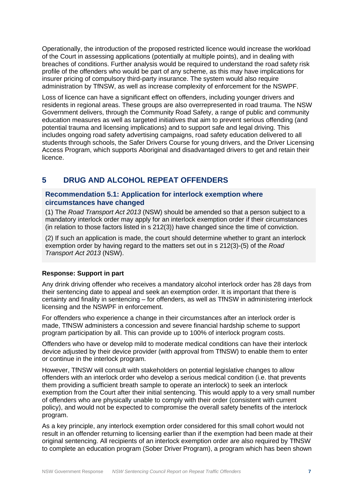Operationally, the introduction of the proposed restricted licence would increase the workload of the Court in assessing applications (potentially at multiple points), and in dealing with breaches of conditions. Further analysis would be required to understand the road safety risk profile of the offenders who would be part of any scheme, as this may have implications for insurer pricing of compulsory third-party insurance. The system would also require administration by TfNSW, as well as increase complexity of enforcement for the NSWPF.

Loss of licence can have a significant effect on offenders, including younger drivers and residents in regional areas. These groups are also overrepresented in road trauma. The NSW Government delivers, through the Community Road Safety, a range of public and community education measures as well as targeted initiatives that aim to prevent serious offending (and potential trauma and licensing implications) and to support safe and legal driving. This includes ongoing road safety advertising campaigns, road safety education delivered to all students through schools, the Safer Drivers Course for young drivers, and the Driver Licensing Access Program, which supports Aboriginal and disadvantaged drivers to get and retain their licence.

# <span id="page-6-0"></span>**5 DRUG AND ALCOHOL REPEAT OFFENDERS**

#### <span id="page-6-1"></span>**Recommendation 5.1: Application for interlock exemption where circumstances have changed**

(1) The *Road Transport Act 2013* (NSW) should be amended so that a person subject to a mandatory interlock order may apply for an interlock exemption order if their circumstances (in relation to those factors listed in s 212(3)) have changed since the time of conviction.

(2) If such an application is made, the court should determine whether to grant an interlock exemption order by having regard to the matters set out in s 212(3)-(5) of the *Road Transport Act 2013* (NSW).

#### **Response: Support in part**

Any drink driving offender who receives a mandatory alcohol interlock order has 28 days from their sentencing date to appeal and seek an exemption order. It is important that there is certainty and finality in sentencing – for offenders, as well as TfNSW in administering interlock licensing and the NSWPF in enforcement.

For offenders who experience a change in their circumstances after an interlock order is made, TfNSW administers a concession and severe financial hardship scheme to support program participation by all. This can provide up to 100% of interlock program costs.

Offenders who have or develop mild to moderate medical conditions can have their interlock device adjusted by their device provider (with approval from TfNSW) to enable them to enter or continue in the interlock program.

However, TfNSW will consult with stakeholders on potential legislative changes to allow offenders with an interlock order who develop a serious medical condition (i.e. that prevents them providing a sufficient breath sample to operate an interlock) to seek an interlock exemption from the Court after their initial sentencing. This would apply to a very small number of offenders who are physically unable to comply with their order (consistent with current policy), and would not be expected to compromise the overall safety benefits of the interlock program.

As a key principle, any interlock exemption order considered for this small cohort would not result in an offender returning to licensing earlier than if the exemption had been made at their original sentencing. All recipients of an interlock exemption order are also required by TfNSW to complete an education program (Sober Driver Program), a program which has been shown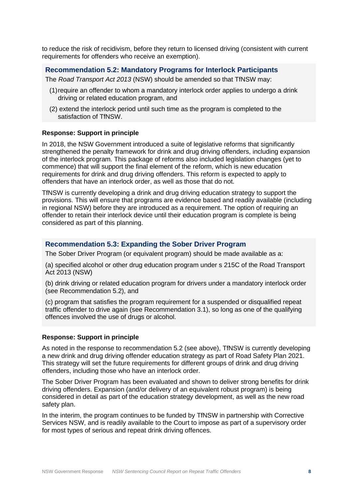to reduce the risk of recidivism, before they return to licensed driving (consistent with current requirements for offenders who receive an exemption).

<span id="page-7-0"></span>**Recommendation 5.2: Mandatory Programs for Interlock Participants**

The *Road Transport Act 2013* (NSW) should be amended so that TfNSW may:

- (1)require an offender to whom a mandatory interlock order applies to undergo a drink driving or related education program, and
- (2) extend the interlock period until such time as the program is completed to the satisfaction of TfNSW.

#### **Response: Support in principle**

In 2018, the NSW Government introduced a suite of legislative reforms that significantly strengthened the penalty framework for drink and drug driving offenders, including expansion of the interlock program. This package of reforms also included legislation changes (yet to commence) that will support the final element of the reform, which is new education requirements for drink and drug driving offenders. This reform is expected to apply to offenders that have an interlock order, as well as those that do not.

TfNSW is currently developing a drink and drug driving education strategy to support the provisions. This will ensure that programs are evidence based and readily available (including in regional NSW) before they are introduced as a requirement. The option of requiring an offender to retain their interlock device until their education program is complete is being considered as part of this planning.

#### <span id="page-7-1"></span>**Recommendation 5.3: Expanding the Sober Driver Program**

The Sober Driver Program (or equivalent program) should be made available as a:

(a) specified alcohol or other drug education program under s 215C of the Road Transport Act 2013 (NSW)

(b) drink driving or related education program for drivers under a mandatory interlock order (see Recommendation 5.2), and

(c) program that satisfies the program requirement for a suspended or disqualified repeat traffic offender to drive again (see Recommendation 3.1), so long as one of the qualifying offences involved the use of drugs or alcohol.

#### **Response: Support in principle**

As noted in the response to recommendation 5.2 (see above), TfNSW is currently developing a new drink and drug driving offender education strategy as part of Road Safety Plan 2021. This strategy will set the future requirements for different groups of drink and drug driving offenders, including those who have an interlock order.

The Sober Driver Program has been evaluated and shown to deliver strong benefits for drink driving offenders. Expansion (and/or delivery of an equivalent robust program) is being considered in detail as part of the education strategy development, as well as the new road safety plan.

In the interim, the program continues to be funded by TfNSW in partnership with Corrective Services NSW, and is readily available to the Court to impose as part of a supervisory order for most types of serious and repeat drink driving offences.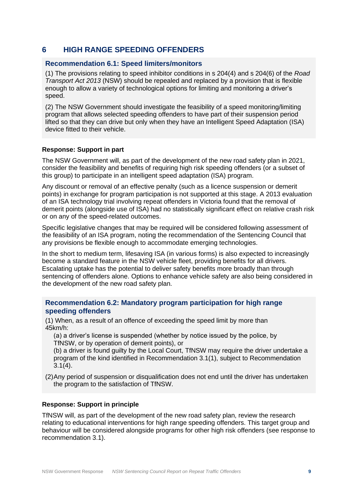## <span id="page-8-0"></span>**6 HIGH RANGE SPEEDING OFFENDERS**

#### <span id="page-8-1"></span>**Recommendation 6.1: Speed limiters/monitors**

(1) The provisions relating to speed inhibitor conditions in s 204(4) and s 204(6) of the *Road Transport Act 2013* (NSW) should be repealed and replaced by a provision that is flexible enough to allow a variety of technological options for limiting and monitoring a driver's speed.

(2) The NSW Government should investigate the feasibility of a speed monitoring/limiting program that allows selected speeding offenders to have part of their suspension period lifted so that they can drive but only when they have an Intelligent Speed Adaptation (ISA) device fitted to their vehicle.

#### **Response: Support in part**

The NSW Government will, as part of the development of the new road safety plan in 2021, consider the feasibility and benefits of requiring high risk speeding offenders (or a subset of this group) to participate in an intelligent speed adaptation (ISA) program.

Any discount or removal of an effective penalty (such as a licence suspension or demerit points) in exchange for program participation is not supported at this stage. A 2013 evaluation of an ISA technology trial involving repeat offenders in Victoria found that the removal of demerit points (alongside use of ISA) had no statistically significant effect on relative crash risk or on any of the speed-related outcomes.

Specific legislative changes that may be required will be considered following assessment of the feasibility of an ISA program, noting the recommendation of the Sentencing Council that any provisions be flexible enough to accommodate emerging technologies.

In the short to medium term, lifesaving ISA (in various forms) is also expected to increasingly become a standard feature in the NSW vehicle fleet, providing benefits for all drivers. Escalating uptake has the potential to deliver safety benefits more broadly than through sentencing of offenders alone. Options to enhance vehicle safety are also being considered in the development of the new road safety plan.

#### <span id="page-8-2"></span>**Recommendation 6.2: Mandatory program participation for high range speeding offenders**

(1) When, as a result of an offence of exceeding the speed limit by more than 45km/h:

(a) a driver's license is suspended (whether by notice issued by the police, by TfNSW, or by operation of demerit points), or

(b) a driver is found guilty by the Local Court, TfNSW may require the driver undertake a program of the kind identified in Recommendation 3.1(1), subject to Recommendation 3.1(4).

(2)Any period of suspension or disqualification does not end until the driver has undertaken the program to the satisfaction of TfNSW.

#### **Response: Support in principle**

TfNSW will, as part of the development of the new road safety plan, review the research relating to educational interventions for high range speeding offenders. This target group and behaviour will be considered alongside programs for other high risk offenders (see response to recommendation 3.1).